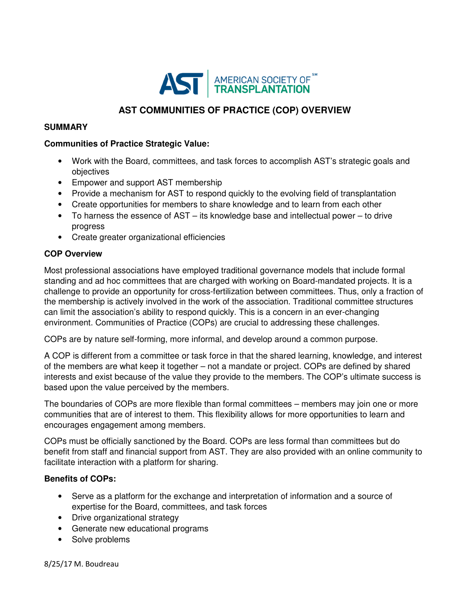

# **AST COMMUNITIES OF PRACTICE (COP) OVERVIEW**

#### **SUMMARY**

#### **Communities of Practice Strategic Value:**

- Work with the Board, committees, and task forces to accomplish AST's strategic goals and objectives
- Empower and support AST membership
- Provide a mechanism for AST to respond quickly to the evolving field of transplantation
- Create opportunities for members to share knowledge and to learn from each other
- To harness the essence of AST its knowledge base and intellectual power to drive progress
- Create greater organizational efficiencies

### **COP Overview**

Most professional associations have employed traditional governance models that include formal standing and ad hoc committees that are charged with working on Board-mandated projects. It is a challenge to provide an opportunity for cross-fertilization between committees. Thus, only a fraction of the membership is actively involved in the work of the association. Traditional committee structures can limit the association's ability to respond quickly. This is a concern in an ever-changing environment. Communities of Practice (COPs) are crucial to addressing these challenges.

COPs are by nature self-forming, more informal, and develop around a common purpose.

A COP is different from a committee or task force in that the shared learning, knowledge, and interest of the members are what keep it together – not a mandate or project. COPs are defined by shared interests and exist because of the value they provide to the members. The COP's ultimate success is based upon the value perceived by the members.

The boundaries of COPs are more flexible than formal committees – members may join one or more communities that are of interest to them. This flexibility allows for more opportunities to learn and encourages engagement among members.

COPs must be officially sanctioned by the Board. COPs are less formal than committees but do benefit from staff and financial support from AST. They are also provided with an online community to facilitate interaction with a platform for sharing.

### **Benefits of COPs:**

- Serve as a platform for the exchange and interpretation of information and a source of expertise for the Board, committees, and task forces
- Drive organizational strategy
- Generate new educational programs
- Solve problems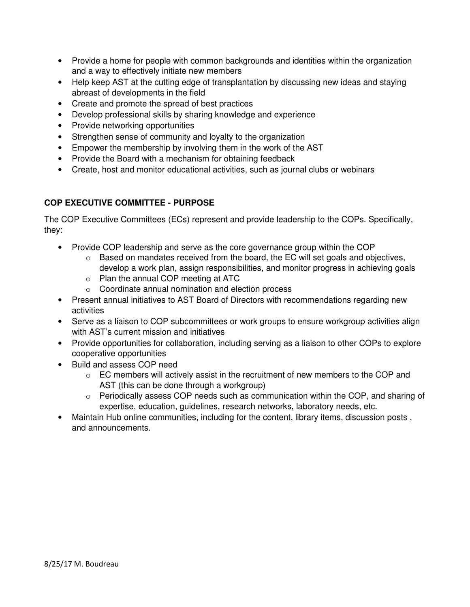- Provide a home for people with common backgrounds and identities within the organization and a way to effectively initiate new members
- Help keep AST at the cutting edge of transplantation by discussing new ideas and staying abreast of developments in the field
- Create and promote the spread of best practices
- Develop professional skills by sharing knowledge and experience
- Provide networking opportunities
- Strengthen sense of community and loyalty to the organization
- Empower the membership by involving them in the work of the AST
- Provide the Board with a mechanism for obtaining feedback
- Create, host and monitor educational activities, such as journal clubs or webinars

# **COP EXECUTIVE COMMITTEE - PURPOSE**

The COP Executive Committees (ECs) represent and provide leadership to the COPs. Specifically, they:

- Provide COP leadership and serve as the core governance group within the COP
	- $\circ$  Based on mandates received from the board, the EC will set goals and objectives, develop a work plan, assign responsibilities, and monitor progress in achieving goals
	- o Plan the annual COP meeting at ATC
	- o Coordinate annual nomination and election process
- Present annual initiatives to AST Board of Directors with recommendations regarding new activities
- Serve as a liaison to COP subcommittees or work groups to ensure workgroup activities align with AST's current mission and initiatives
- Provide opportunities for collaboration, including serving as a liaison to other COPs to explore cooperative opportunities
- Build and assess COP need
	- o EC members will actively assist in the recruitment of new members to the COP and AST (this can be done through a workgroup)
	- $\circ$  Periodically assess COP needs such as communication within the COP, and sharing of expertise, education, guidelines, research networks, laboratory needs, etc.
- Maintain Hub online communities, including for the content, library items, discussion posts , and announcements.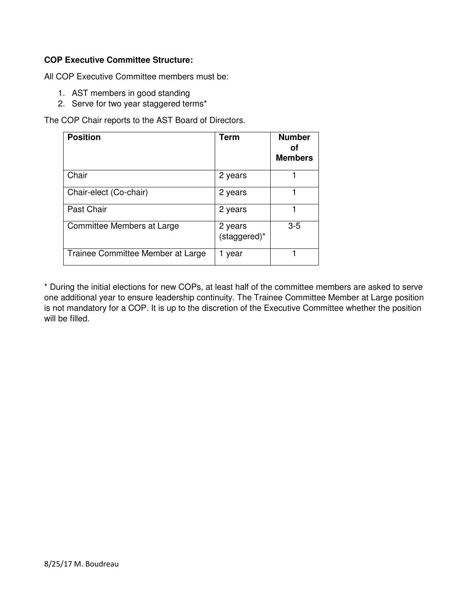# **COP Executive Committee Structure:**

All COP Executive Committee members must be:

- 1. AST members in good standing
- 2. Serve for two year staggered terms\*

The COP Chair reports to the AST Board of Directors.

| <b>Position</b>                   | <b>Term</b>             | <b>Number</b><br>Οt<br><b>Members</b> |
|-----------------------------------|-------------------------|---------------------------------------|
| Chair                             | 2 years                 |                                       |
| Chair-elect (Co-chair)            | 2 years                 |                                       |
| Past Chair                        | 2 years                 |                                       |
| Committee Members at Large        | 2 years<br>(staggered)* | $3 - 5$                               |
| Trainee Committee Member at Large | year                    |                                       |

\* During the initial elections for new COPs, at least half of the committee members are asked to serve one additional year to ensure leadership continuity. The Trainee Committee Member at Large position is not mandatory for a COP. It is up to the discretion of the Executive Committee whether the position will be filled.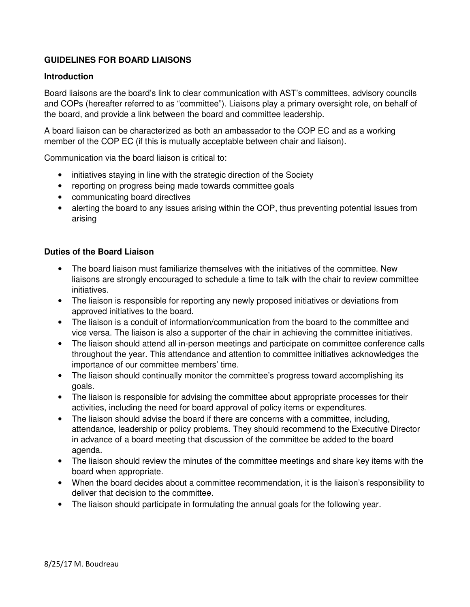# **GUIDELINES FOR BOARD LIAISONS**

#### **Introduction**

Board liaisons are the board's link to clear communication with AST's committees, advisory councils and COPs (hereafter referred to as "committee"). Liaisons play a primary oversight role, on behalf of the board, and provide a link between the board and committee leadership.

A board liaison can be characterized as both an ambassador to the COP EC and as a working member of the COP EC (if this is mutually acceptable between chair and liaison).

Communication via the board liaison is critical to:

- initiatives staying in line with the strategic direction of the Society
- reporting on progress being made towards committee goals
- communicating board directives
- alerting the board to any issues arising within the COP, thus preventing potential issues from arising

#### **Duties of the Board Liaison**

- The board liaison must familiarize themselves with the initiatives of the committee. New liaisons are strongly encouraged to schedule a time to talk with the chair to review committee initiatives.
- The liaison is responsible for reporting any newly proposed initiatives or deviations from approved initiatives to the board.
- The liaison is a conduit of information/communication from the board to the committee and vice versa. The liaison is also a supporter of the chair in achieving the committee initiatives.
- The liaison should attend all in-person meetings and participate on committee conference calls throughout the year. This attendance and attention to committee initiatives acknowledges the importance of our committee members' time.
- The liaison should continually monitor the committee's progress toward accomplishing its goals.
- The liaison is responsible for advising the committee about appropriate processes for their activities, including the need for board approval of policy items or expenditures.
- The liaison should advise the board if there are concerns with a committee, including, attendance, leadership or policy problems. They should recommend to the Executive Director in advance of a board meeting that discussion of the committee be added to the board agenda.
- The liaison should review the minutes of the committee meetings and share key items with the board when appropriate.
- When the board decides about a committee recommendation, it is the liaison's responsibility to deliver that decision to the committee.
- The liaison should participate in formulating the annual goals for the following year.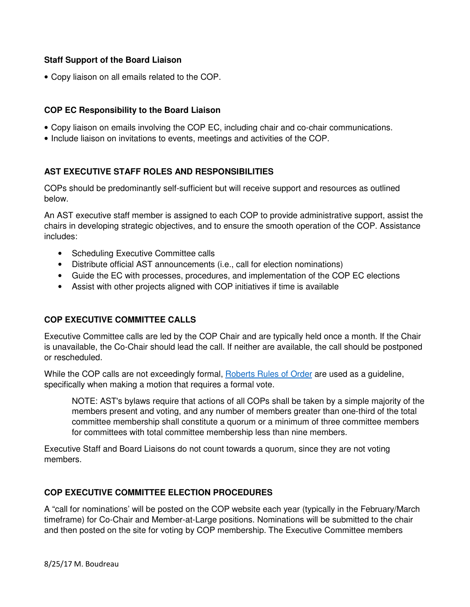### **Staff Support of the Board Liaison**

• Copy liaison on all emails related to the COP.

### **COP EC Responsibility to the Board Liaison**

- Copy liaison on emails involving the COP EC, including chair and co-chair communications.
- Include liaison on invitations to events, meetings and activities of the COP.

# **AST EXECUTIVE STAFF ROLES AND RESPONSIBILITIES**

COPs should be predominantly self-sufficient but will receive support and resources as outlined below.

An AST executive staff member is assigned to each COP to provide administrative support, assist the chairs in developing strategic objectives, and to ensure the smooth operation of the COP. Assistance includes:

- Scheduling Executive Committee calls
- Distribute official AST announcements (i.e., call for election nominations)
- Guide the EC with processes, procedures, and implementation of the COP EC elections
- Assist with other projects aligned with COP initiatives if time is available

# **COP EXECUTIVE COMMITTEE CALLS**

Executive Committee calls are led by the COP Chair and are typically held once a month. If the Chair is unavailable, the Co-Chair should lead the call. If neither are available, the call should be postponed or rescheduled.

While the COP calls are not exceedingly formal, **Roberts Rules of Order** are used as a guideline, specifically when making a motion that requires a formal vote.

NOTE: AST's bylaws require that actions of all COPs shall be taken by a simple majority of the members present and voting, and any number of members greater than one-third of the total committee membership shall constitute a quorum or a minimum of three committee members for committees with total committee membership less than nine members.

Executive Staff and Board Liaisons do not count towards a quorum, since they are not voting members.

### **COP EXECUTIVE COMMITTEE ELECTION PROCEDURES**

A "call for nominations' will be posted on the COP website each year (typically in the February/March timeframe) for Co-Chair and Member-at-Large positions. Nominations will be submitted to the chair and then posted on the site for voting by COP membership. The Executive Committee members